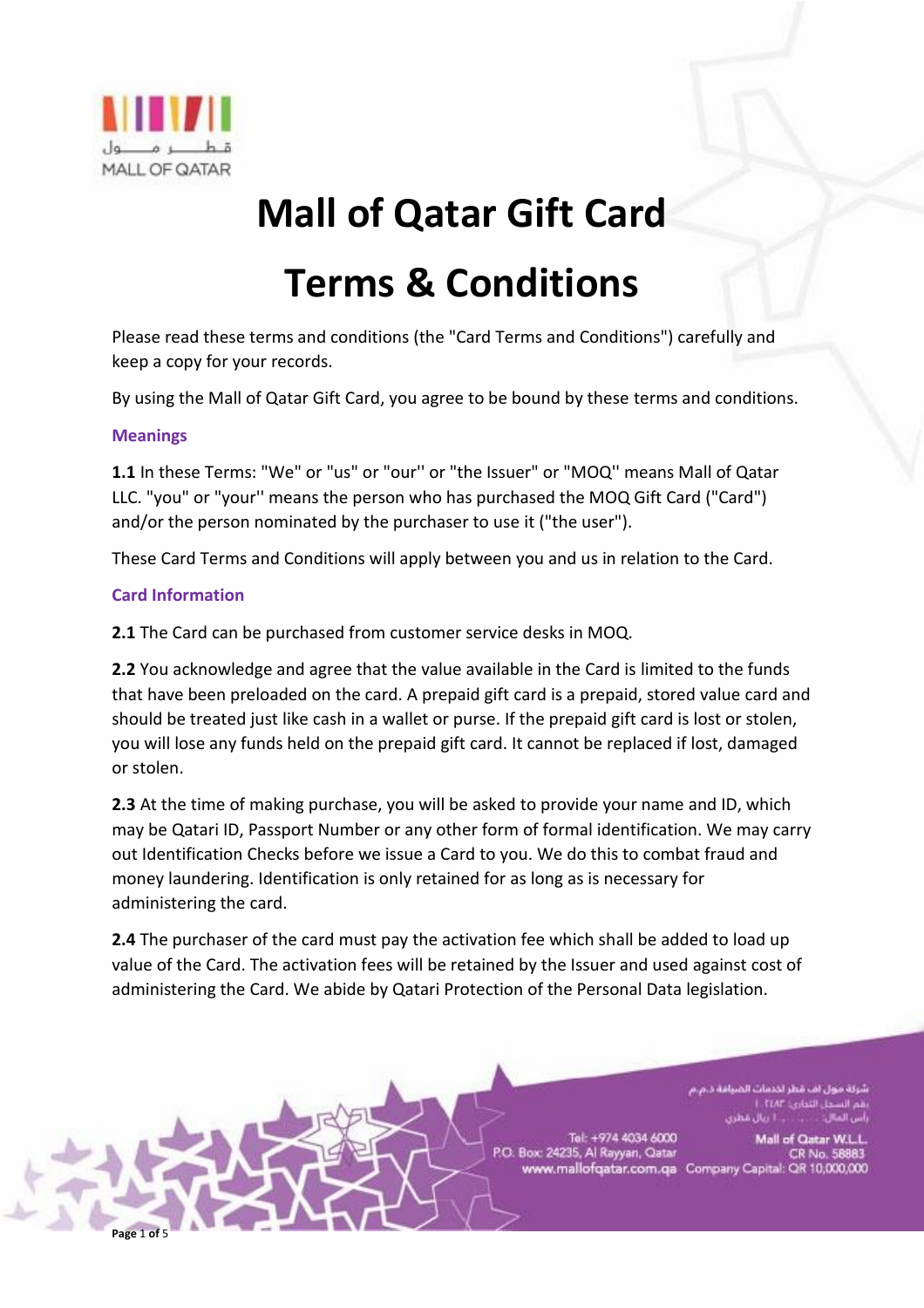

# **Mall of Qatar Gift Card**

# **Terms & Conditions**

Please read these terms and conditions (the "Card Terms and Conditions") carefully and keep a copy for your records.

By using the Mall of Qatar Gift Card, you agree to be bound by these terms and conditions.

#### **Meanings**

**1.1** In these Terms: "We" or "us" or "our'' or "the Issuer" or "MOQ'' means Mall of Qatar LLC. "you" or "your'' means the person who has purchased the MOQ Gift Card ("Card") and/or the person nominated by the purchaser to use it ("the user").

These Card Terms and Conditions will apply between you and us in relation to the Card.

## **Card Information**

**Page** 1 **of** 5

**2.1** The Card can be purchased from customer service desks in MOQ.

**2.2** You acknowledge and agree that the value available in the Card is limited to the funds that have been preloaded on the card. A prepaid gift card is a prepaid, stored value card and should be treated just like cash in a wallet or purse. If the prepaid gift card is lost or stolen, you will lose any funds held on the prepaid gift card. It cannot be replaced if lost, damaged or stolen.

**2.3** At the time of making purchase, you will be asked to provide your name and ID, which may be Qatari ID, Passport Number or any other form of formal identification. We may carry out Identification Checks before we issue a Card to you. We do this to combat fraud and money laundering. Identification is only retained for as long as is necessary for administering the card.

**2.4** The purchaser of the card must pay the activation fee which shall be added to load up value of the Card. The activation fees will be retained by the Issuer and used against cost of administering the Card. We abide by Qatari Protection of the Personal Data legislation.

> ول اف قطر لخدمات الضيافة د. 1. TEAT Lobal

Tel: +974 4034 6000 P.O. Box: 24235, Al Rayyan, Qatar

Mall of Qatar W.L. CR No. 58883 www.mallofqatar.com.qa Company Capital: QR 10,000,000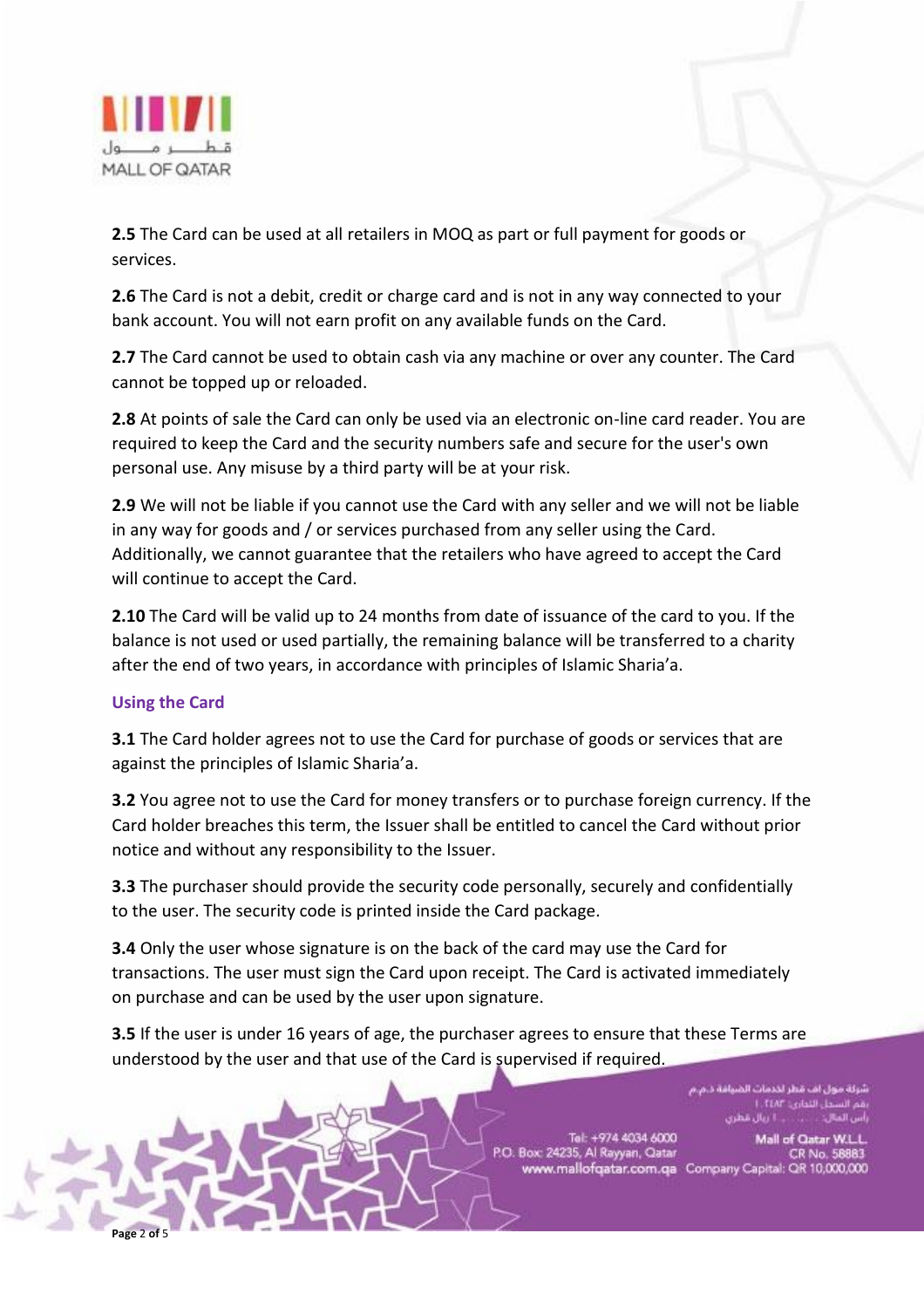

**2.5** The Card can be used at all retailers in MOQ as part or full payment for goods or services.

**2.6** The Card is not a debit, credit or charge card and is not in any way connected to your bank account. You will not earn profit on any available funds on the Card.

**2.7** The Card cannot be used to obtain cash via any machine or over any counter. The Card cannot be topped up or reloaded.

**2.8** At points of sale the Card can only be used via an electronic on-line card reader. You are required to keep the Card and the security numbers safe and secure for the user's own personal use. Any misuse by a third party will be at your risk.

**2.9** We will not be liable if you cannot use the Card with any seller and we will not be liable in any way for goods and / or services purchased from any seller using the Card. Additionally, we cannot guarantee that the retailers who have agreed to accept the Card will continue to accept the Card.

**2.10** The Card will be valid up to 24 months from date of issuance of the card to you. If the balance is not used or used partially, the remaining balance will be transferred to a charity after the end of two years, in accordance with principles of Islamic Sharia'a.

## **Using the Card**

**Page** 2 **of** 5

**3.1** The Card holder agrees not to use the Card for purchase of goods or services that are against the principles of Islamic Sharia'a.

**3.2** You agree not to use the Card for money transfers or to purchase foreign currency. If the Card holder breaches this term, the Issuer shall be entitled to cancel the Card without prior notice and without any responsibility to the Issuer.

**3.3** The purchaser should provide the security code personally, securely and confidentially to the user. The security code is printed inside the Card package.

**3.4** Only the user whose signature is on the back of the card may use the Card for transactions. The user must sign the Card upon receipt. The Card is activated immediately on purchase and can be used by the user upon signature.

**3.5** If the user is under 16 years of age, the purchaser agrees to ensure that these Terms are understood by the user and that use of the Card is supervised if required.

> ول اف قطر لخدمات الضيافة د.م.م بل التواري: L.TEAF

Tel: +974 4034 6000 P.O. Box: 24235, Al Rayyan, Qatar

Mall of Qatar W.L.L CR No. 58883 www.mallofqatar.com.qa Company Capital: QR 10,000,000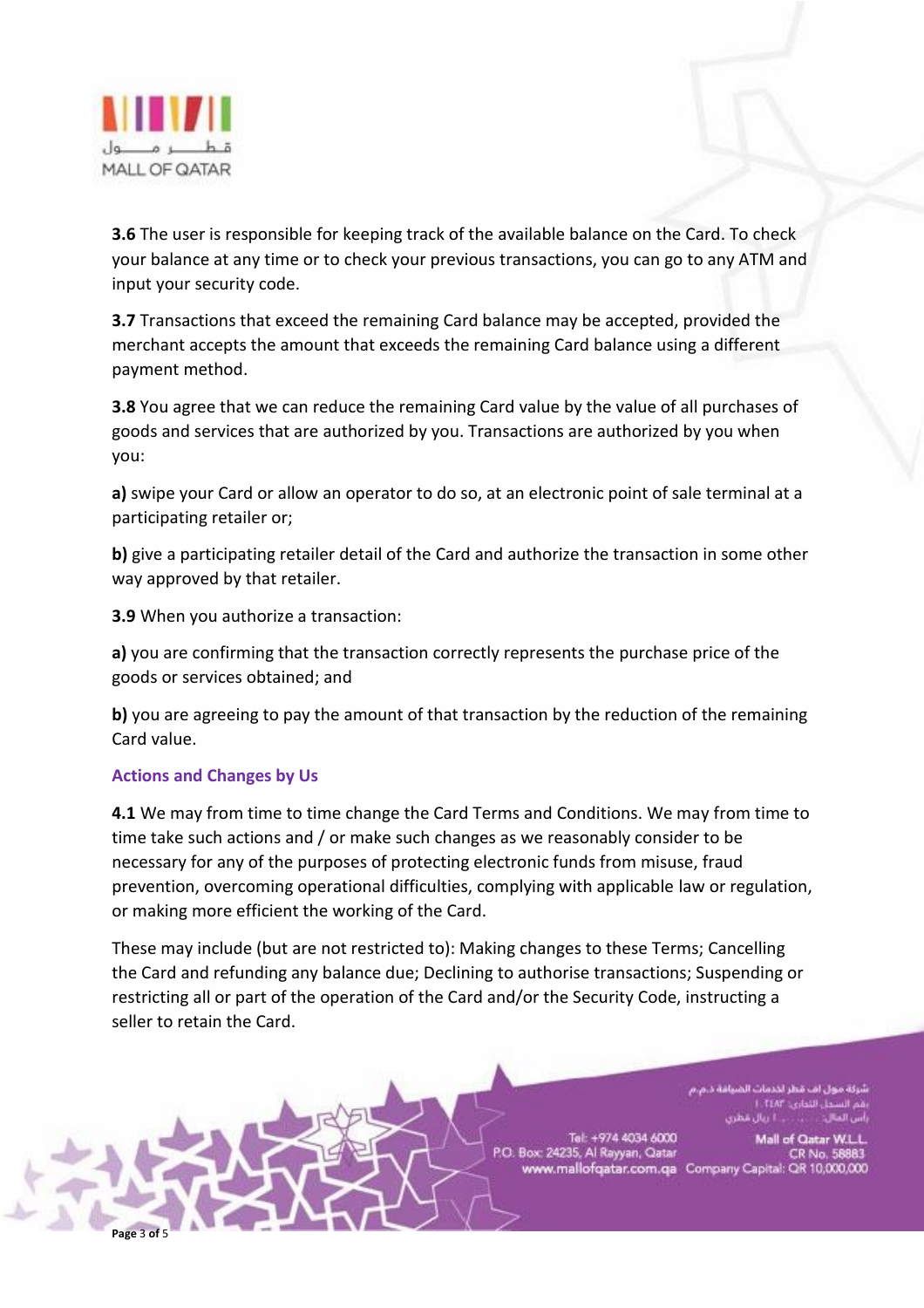

**3.6** The user is responsible for keeping track of the available balance on the Card. To check your balance at any time or to check your previous transactions, you can go to any ATM and input your security code.

**3.7** Transactions that exceed the remaining Card balance may be accepted, provided the merchant accepts the amount that exceeds the remaining Card balance using a different payment method.

**3.8** You agree that we can reduce the remaining Card value by the value of all purchases of goods and services that are authorized by you. Transactions are authorized by you when you:

**a)** swipe your Card or allow an operator to do so, at an electronic point of sale terminal at a participating retailer or;

**b)** give a participating retailer detail of the Card and authorize the transaction in some other way approved by that retailer.

**3.9** When you authorize a transaction:

**a)** you are confirming that the transaction correctly represents the purchase price of the goods or services obtained; and

**b)** you are agreeing to pay the amount of that transaction by the reduction of the remaining Card value.

## **Actions and Changes by Us**

**Page** 3 **of** 5

**4.1** We may from time to time change the Card Terms and Conditions. We may from time to time take such actions and / or make such changes as we reasonably consider to be necessary for any of the purposes of protecting electronic funds from misuse, fraud prevention, overcoming operational difficulties, complying with applicable law or regulation, or making more efficient the working of the Card.

These may include (but are not restricted to): Making changes to these Terms; Cancelling the Card and refunding any balance due; Declining to authorise transactions; Suspending or restricting all or part of the operation of the Card and/or the Security Code, instructing a seller to retain the Card.

> ول اف قطر لحدمات الضيافة ، 1. TEAT Lobal

Tel: +974 4034 6000 P.O. Box: 24235, Al Rayyan, Qatar

Mall of Qatar W.L.L CR No. 58883 www.mallofqatar.com.qa Company Capital: QR 10,000,000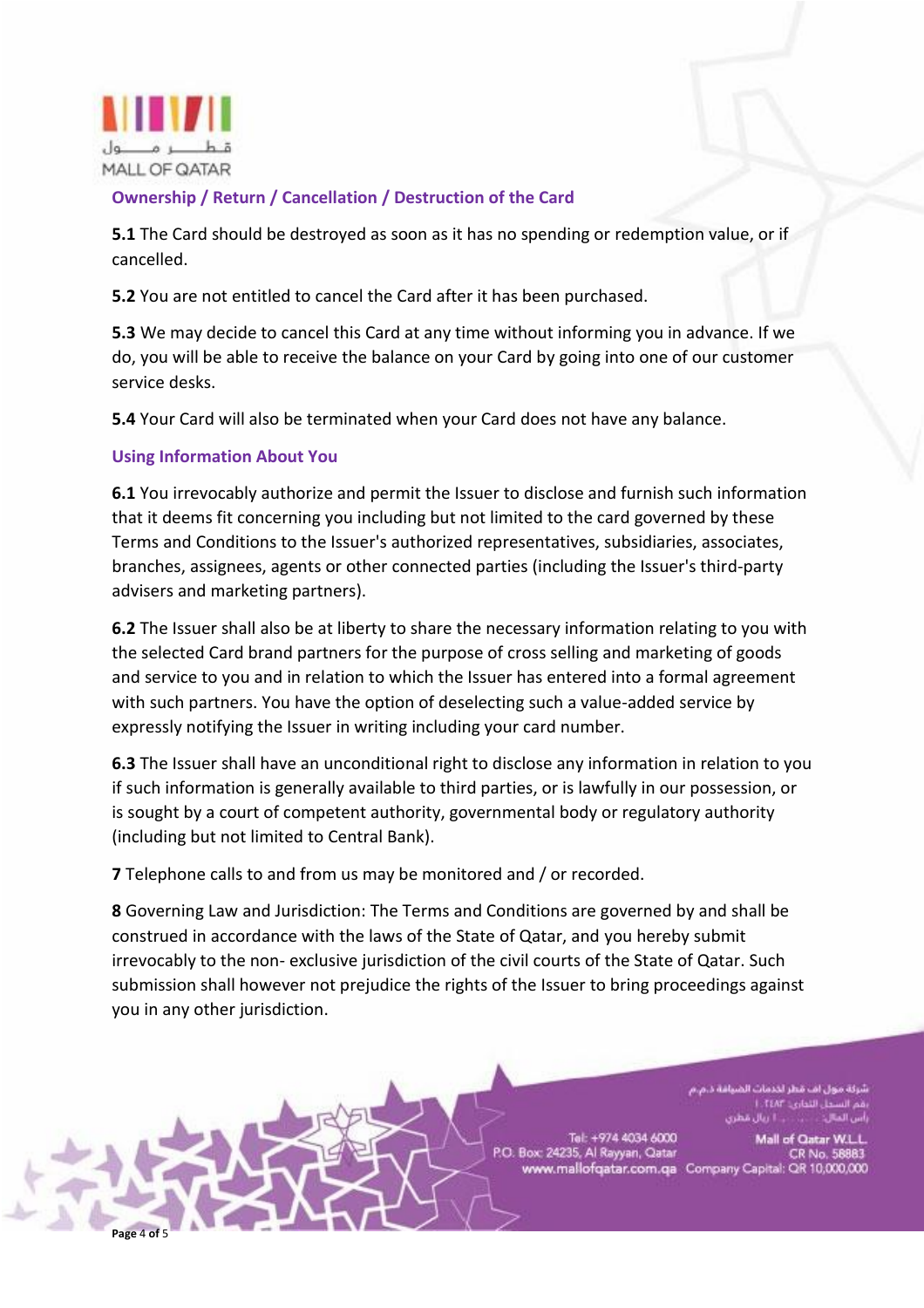

# **Ownership / Return / Cancellation / Destruction of the Card**

**5.1** The Card should be destroyed as soon as it has no spending or redemption value, or if cancelled.

**5.2** You are not entitled to cancel the Card after it has been purchased.

**5.3** We may decide to cancel this Card at any time without informing you in advance. If we do, you will be able to receive the balance on your Card by going into one of our customer service desks.

**5.4** Your Card will also be terminated when your Card does not have any balance.

#### **Using Information About You**

**Page** 4 **of** 5

**6.1** You irrevocably authorize and permit the Issuer to disclose and furnish such information that it deems fit concerning you including but not limited to the card governed by these Terms and Conditions to the Issuer's authorized representatives, subsidiaries, associates, branches, assignees, agents or other connected parties (including the Issuer's third-party advisers and marketing partners).

**6.2** The Issuer shall also be at liberty to share the necessary information relating to you with the selected Card brand partners for the purpose of cross selling and marketing of goods and service to you and in relation to which the Issuer has entered into a formal agreement with such partners. You have the option of deselecting such a value-added service by expressly notifying the Issuer in writing including your card number.

**6.3** The Issuer shall have an unconditional right to disclose any information in relation to you if such information is generally available to third parties, or is lawfully in our possession, or is sought by a court of competent authority, governmental body or regulatory authority (including but not limited to Central Bank).

**7** Telephone calls to and from us may be monitored and / or recorded.

**8** Governing Law and Jurisdiction: The Terms and Conditions are governed by and shall be construed in accordance with the laws of the State of Qatar, and you hereby submit irrevocably to the non- exclusive jurisdiction of the civil courts of the State of Qatar. Such submission shall however not prejudice the rights of the Issuer to bring proceedings against you in any other jurisdiction.

> ول اف قطر لخدمات الضيافة د. بل التداري: L.TEAP أأريال مطرى

Tel: +974 4034 6000 P.O. Box: 24235, Al Rayyan, Qatar

Mall of Qatar W.L.L. CR No. 58883 www.mallofqatar.com.qa Company Capital: QR 10,000,000